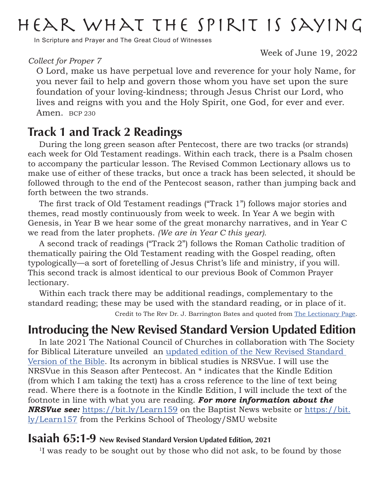## Hear what the Spirit is saying

In Scripture and Prayer and The Great Cloud of Witnesses

*Collect for Proper 7*

Week of June 19, 2022

O Lord, make us have perpetual love and reverence for your holy Name, for you never fail to help and govern those whom you have set upon the sure foundation of your loving-kindness; through Jesus Christ our Lord, who lives and reigns with you and the Holy Spirit, one God, for ever and ever. Amen. BCP 230

### Track 1 and Track 2 Readings

During the long green season after Pentecost, there are two tracks (or strands) each week for Old Testament readings. Within each track, there is a Psalm chosen to accompany the particular lesson. The Revised Common Lectionary allows us to make use of either of these tracks, but once a track has been selected, it should be followed through to the end of the Pentecost season, rather than jumping back and forth between the two strands.

The first track of Old Testament readings ("Track 1") follows major stories and themes, read mostly continuously from week to week. In Year A we begin with Genesis, in Year B we hear some of the great monarchy narratives, and in Year C we read from the later prophets. *(We are in Year C this year).*

A second track of readings ("Track 2") follows the Roman Catholic tradition of thematically pairing the Old Testament reading with the Gospel reading, often typologically—a sort of foretelling of Jesus Christ's life and ministry, if you will. This second track is almost identical to our previous Book of Common Prayer lectionary.

Within each track there may be additional readings, complementary to the standard reading; these may be used with the standard reading, or in place of it. Credit to The Rev Dr. J. Barrington Bates and quoted from [The Lectionary Page.](https://www.lectionarypage.net)

### Introducing the New Revised Standard Version Updated Edition

In late 2021 The National Council of Churches in collaboration with The Society for Biblical Literature unveiled an [updated edition of the New Revised Standard](https://bit.ly/Learn158)  [Version of the Bible.](https://bit.ly/Learn158) Its acronym in biblical studies is NRSVue. I will use the NRSVue in this Season after Pentecost. An \* indicates that the Kindle Edition (from which I am taking the text) has a cross reference to the line of text being read. Where there is a footnote in the Kindle Edition, I will include the text of the footnote in line with what you are reading. *For more information about the NRSVue see:* <https://bit.ly/Learn159> on the Baptist News website or [https://bit.](https://bit.ly/Learn157) [ly/Learn157](https://bit.ly/Learn157) from the Perkins School of Theology/SMU website

### Isaiah 65:1-9 New Revised Standard Version Updated Edition, 2021

<sup>1</sup>I was ready to be sought out by those who did not ask, to be found by those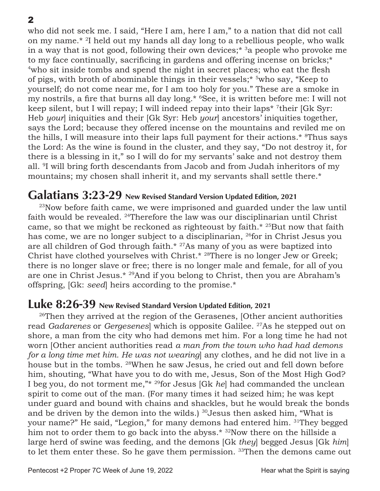2

who did not seek me. I said, "Here I am, here I am," to a nation that did not call on my name.\* 2I held out my hands all day long to a rebellious people, who walk in a way that is not good, following their own devices;<sup>\*</sup> 3a people who provoke me to my face continually, sacrificing in gardens and offering incense on bricks;\* <sup>4</sup>who sit inside tombs and spend the night in secret places; who eat the flesh of pigs, with broth of abominable things in their vessels;\* 5who say, "Keep to yourself; do not come near me, for I am too holy for you." These are a smoke in my nostrils, a fire that burns all day long.\* 6See, it is written before me: I will not keep silent, but I will repay; I will indeed repay into their laps\* <sup>7</sup>their [Gk Syr: Heb *your*] iniquities and their [Gk Syr: Heb *your*] ancestors' iniquities together, says the Lord; because they offered incense on the mountains and reviled me on the hills, I will measure into their laps full payment for their actions.\* <sup>8</sup>Thus says the Lord: As the wine is found in the cluster, and they say, "Do not destroy it, for there is a blessing in it," so I will do for my servants' sake and not destroy them all. <sup>9</sup>I will bring forth descendants from Jacob and from Judah inheritors of my mountains; my chosen shall inherit it, and my servants shall settle there.\*

### Galatians 3:23-29 New Revised Standard Version Updated Edition, 2021

23Now before faith came, we were imprisoned and guarded under the law until faith would be revealed. <sup>24</sup>Therefore the law was our disciplinarian until Christ came, so that we might be reckoned as righteoust by faith.\* <sup>25</sup>But now that faith has come, we are no longer subject to a disciplinarian, <sup>26</sup>for in Christ Jesus you are all children of God through faith.\* <sup>27</sup>As many of you as were baptized into Christ have clothed yourselves with Christ.\* 28There is no longer Jew or Greek; there is no longer slave or free; there is no longer male and female, for all of you are one in Christ Jesus.\* <sup>29</sup>And if you belong to Christ, then you are Abraham's offspring, [Gk: *seed*] heirs according to the promise.\*

### Luke 8:26-39 New Revised Standard Version Updated Edition, 2021

 $26$ Then they arrived at the region of the Gerasenes, [Other ancient authorities] read *Gadarenes* or *Gergesenes*] which is opposite Galilee. <sup>27</sup>As he stepped out on shore, a man from the city who had demons met him. For a long time he had not worn [Other ancient authorities read *a man from the town who had had demons for a long time met him. He was not wearing*] any clothes, and he did not live in a house but in the tombs. <sup>28</sup>When he saw Jesus, he cried out and fell down before him, shouting, "What have you to do with me, Jesus, Son of the Most High God? I beg you, do not torment me,"\* 29for Jesus [Gk *he*] had commanded the unclean spirit to come out of the man. (For many times it had seized him; he was kept under guard and bound with chains and shackles, but he would break the bonds and be driven by the demon into the wilds.)  $30$ Jesus then asked him, "What is your name?" He said, "Legion," for many demons had entered him. 31They begged him not to order them to go back into the abyss.<sup>\*</sup> <sup>32</sup>Now there on the hillside a large herd of swine was feeding, and the demons [Gk *they*] begged Jesus [Gk *him*] to let them enter these. So he gave them permission. <sup>33</sup>Then the demons came out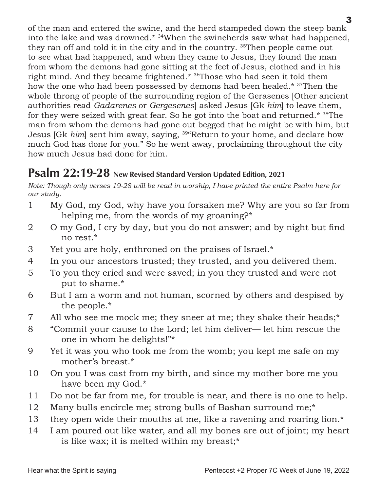of the man and entered the swine, and the herd stampeded down the steep bank into the lake and was drowned.\* 34When the swineherds saw what had happened, they ran off and told it in the city and in the country. <sup>35</sup>Then people came out to see what had happened, and when they came to Jesus, they found the man from whom the demons had gone sitting at the feet of Jesus, clothed and in his right mind. And they became frightened.\* 36Those who had seen it told them how the one who had been possessed by demons had been healed.\* 37Then the whole throng of people of the surrounding region of the Gerasenes [Other ancient authorities read *Gadarenes* or *Gergesenes*] asked Jesus [Gk *him*] to leave them, for they were seized with great fear. So he got into the boat and returned.\* 38The man from whom the demons had gone out begged that he might be with him, but Jesus [Gk *him*] sent him away, saying, 39"Return to your home, and declare how much God has done for you." So he went away, proclaiming throughout the city how much Jesus had done for him.

### Psalm 22:19-28 New Revised Standard Version Updated Edition, 2021

*Note: Though only verses 19-28 will be read in worship, I have printed the entire Psalm here for our study.*

- 1 My God, my God, why have you forsaken me? Why are you so far from helping me, from the words of my groaning?\*
- 2 O my God, I cry by day, but you do not answer; and by night but find no rest.\*
- 3 Yet you are holy, enthroned on the praises of Israel.\*
- 4 In you our ancestors trusted; they trusted, and you delivered them.
- 5 To you they cried and were saved; in you they trusted and were not put to shame.\*
- 6 But I am a worm and not human, scorned by others and despised by the people.\*
- 7 All who see me mock me; they sneer at me; they shake their heads;\*
- 8 "Commit your cause to the Lord; let him deliver— let him rescue the one in whom he delights!"\*
- 9 Yet it was you who took me from the womb; you kept me safe on my mother's breast.\*
- 10 On you I was cast from my birth, and since my mother bore me you have been my God.\*
- 11 Do not be far from me, for trouble is near, and there is no one to help.
- 12 Many bulls encircle me; strong bulls of Bashan surround me;\*
- 13 they open wide their mouths at me, like a ravening and roaring lion.\*
- 14 I am poured out like water, and all my bones are out of joint; my heart is like wax; it is melted within my breast;\*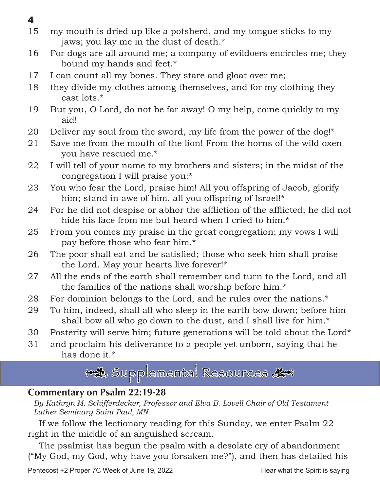- 4
- 15 my mouth is dried up like a potsherd, and my tongue sticks to my jaws; you lay me in the dust of death.\*
- 16 For dogs are all around me; a company of evildoers encircles me; they bound my hands and feet.\*
- 17 I can count all my bones. They stare and gloat over me;
- 18 they divide my clothes among themselves, and for my clothing they cast lots.\*
- 19 But you, O Lord, do not be far away! O my help, come quickly to my aid!
- 20 Deliver my soul from the sword, my life from the power of the dog!\*
- 21 Save me from the mouth of the lion! From the horns of the wild oxen you have rescued me.\*
- 22 I will tell of your name to my brothers and sisters; in the midst of the congregation I will praise you:\*
- 23 You who fear the Lord, praise him! All you offspring of Jacob, glorify him; stand in awe of him, all you offspring of Israel!\*
- 24 For he did not despise or abhor the affliction of the afflicted; he did not hide his face from me but heard when I cried to him.\*
- 25 From you comes my praise in the great congregation; my vows I will pay before those who fear him.\*
- 26 The poor shall eat and be satisfied; those who seek him shall praise the Lord. May your hearts live forever!\*
- 27 All the ends of the earth shall remember and turn to the Lord, and all the families of the nations shall worship before him.\*
- 28 For dominion belongs to the Lord, and he rules over the nations.\*
- 29 To him, indeed, shall all who sleep in the earth bow down; before him shall bow all who go down to the dust, and I shall live for him.<sup>\*</sup>
- 30 Posterity will serve him; future generations will be told about the Lord\*
- 31 and proclaim his deliverance to a people yet unborn, saying that he has done it.\*

\*\* Supplemental Resources &\*

### Commentary on Psalm 22:19-28

By Kathryn M. Schifferdecker, Professor and Elva B. Lovell Chair of Old Testament *Luther Seminary Saint Paul, MN*

If we follow the lectionary reading for this Sunday, we enter Psalm 22 right in the middle of an anguished scream.

The psalmist has begun the psalm with a desolate cry of abandonment ("My God, my God, why have you forsaken me?"), and then has detailed his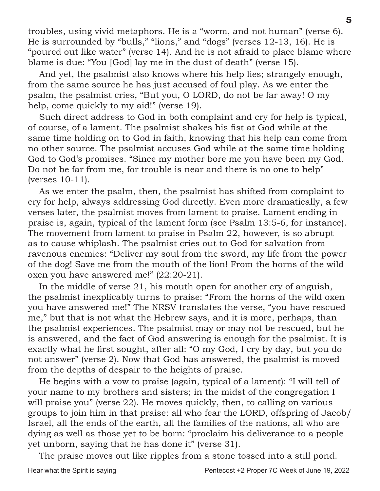troubles, using vivid metaphors. He is a "worm, and not human" (verse 6). He is surrounded by "bulls," "lions," and "dogs" (verses 12-13, 16). He is "poured out like water" (verse 14). And he is not afraid to place blame where blame is due: "You [God] lay me in the dust of death" (verse 15).

And yet, the psalmist also knows where his help lies; strangely enough, from the same source he has just accused of foul play. As we enter the psalm, the psalmist cries, "But you, O LORD, do not be far away! O my help, come quickly to my aid!" (verse 19).

Such direct address to God in both complaint and cry for help is typical, of course, of a lament. The psalmist shakes his fist at God while at the same time holding on to God in faith, knowing that his help can come from no other source. The psalmist accuses God while at the same time holding God to God's promises. "Since my mother bore me you have been my God. Do not be far from me, for trouble is near and there is no one to help" (verses 10-11).

As we enter the psalm, then, the psalmist has shifted from complaint to cry for help, always addressing God directly. Even more dramatically, a few verses later, the psalmist moves from lament to praise. Lament ending in praise is, again, typical of the lament form (see Psalm 13:5-6, for instance). The movement from lament to praise in Psalm 22, however, is so abrupt as to cause whiplash. The psalmist cries out to God for salvation from ravenous enemies: "Deliver my soul from the sword, my life from the power of the dog! Save me from the mouth of the lion! From the horns of the wild oxen you have answered me!" (22:20-21).

In the middle of verse 21, his mouth open for another cry of anguish, the psalmist inexplicably turns to praise: "From the horns of the wild oxen you have answered me!" The NRSV translates the verse, "you have rescued me," but that is not what the Hebrew says, and it is more, perhaps, than the psalmist experiences. The psalmist may or may not be rescued, but he is answered, and the fact of God answering is enough for the psalmist. It is exactly what he first sought, after all: "O my God, I cry by day, but you do not answer" (verse 2). Now that God has answered, the psalmist is moved from the depths of despair to the heights of praise.

He begins with a vow to praise (again, typical of a lament): "I will tell of your name to my brothers and sisters; in the midst of the congregation I will praise you" (verse 22). He moves quickly, then, to calling on various groups to join him in that praise: all who fear the LORD, offspring of Jacob/ Israel, all the ends of the earth, all the families of the nations, all who are dying as well as those yet to be born: "proclaim his deliverance to a people yet unborn, saying that he has done it" (verse 31).

The praise moves out like ripples from a stone tossed into a still pond.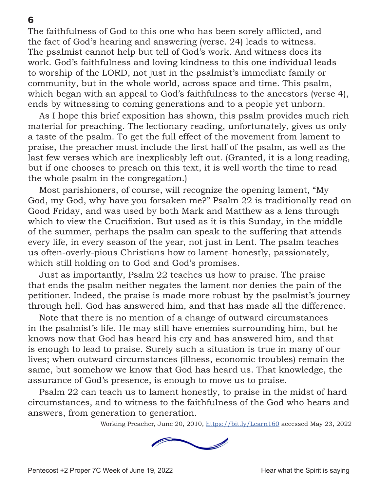The faithfulness of God to this one who has been sorely afflicted, and the fact of God's hearing and answering (verse. 24) leads to witness. The psalmist cannot help but tell of God's work. And witness does its work. God's faithfulness and loving kindness to this one individual leads to worship of the LORD, not just in the psalmist's immediate family or community, but in the whole world, across space and time. This psalm, which began with an appeal to God's faithfulness to the ancestors (verse 4), ends by witnessing to coming generations and to a people yet unborn.

As I hope this brief exposition has shown, this psalm provides much rich material for preaching. The lectionary reading, unfortunately, gives us only a taste of the psalm. To get the full effect of the movement from lament to praise, the preacher must include the first half of the psalm, as well as the last few verses which are inexplicably left out. (Granted, it is a long reading, but if one chooses to preach on this text, it is well worth the time to read the whole psalm in the congregation.)

Most parishioners, of course, will recognize the opening lament, "My God, my God, why have you forsaken me?" Psalm 22 is traditionally read on Good Friday, and was used by both Mark and Matthew as a lens through which to view the Crucifixion. But used as it is this Sunday, in the middle of the summer, perhaps the psalm can speak to the suffering that attends every life, in every season of the year, not just in Lent. The psalm teaches us often-overly-pious Christians how to lament–honestly, passionately, which still holding on to God and God's promises.

Just as importantly, Psalm 22 teaches us how to praise. The praise that ends the psalm neither negates the lament nor denies the pain of the petitioner. Indeed, the praise is made more robust by the psalmist's journey through hell. God has answered him, and that has made all the difference.

Note that there is no mention of a change of outward circumstances in the psalmist's life. He may still have enemies surrounding him, but he knows now that God has heard his cry and has answered him, and that is enough to lead to praise. Surely such a situation is true in many of our lives; when outward circumstances (illness, economic troubles) remain the same, but somehow we know that God has heard us. That knowledge, the assurance of God's presence, is enough to move us to praise.

Psalm 22 can teach us to lament honestly, to praise in the midst of hard circumstances, and to witness to the faithfulness of the God who hears and answers, from generation to generation.

Working Preacher, June 20, 2010, [https://bit.ly/Learn160](https://www.journeywithjesus.net/essays/1623-fishing-for-people) accessed May 23, 2022

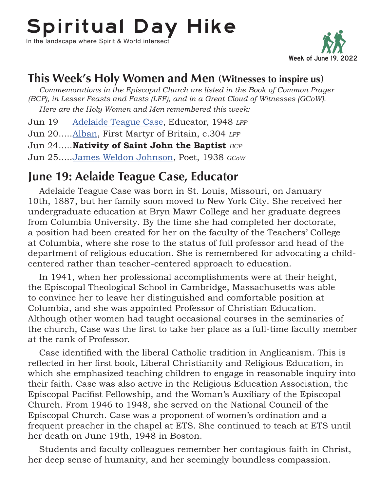# Spiritual Day Hike

In the landscape where Spirit & World intersect



### This Week's Holy Women and Men (Witnesses to inspire us)

*Commemorations in the Episcopal Church are listed in the Book of Common Prayer (BCP), in Lesser Feasts and Fasts (LFF), and in a Great Cloud of Witnesses (GCoW). Here are the Holy Women and Men remembered this week:*

Jun 19 [Adelaide Teague Case,](https://holywomenholymen.wordpress.com/2016/07/19/jul-19-adelaide-teague-case/) Educator, 1948 *LFF*

Jun 20�����[Alban,](https://standingcommissiononliturgyandmusic.org/2011/06/22/june-22-alban-first-martyr-of-britain-c-304/) First Martyr of Britain, c.304 *LFF*

Jun 24..... **Nativity of Saint John the Baptist** *BCP* 

Jun 25�����[James Weldon Johnson](https://en.wikipedia.org/wiki/James_Weldon_Johnson), Poet, 1938 *GCoW*

### June 19: Aelaide Teague Case, Educator

Adelaide Teague Case was born in St. Louis, Missouri, on January 10th, 1887, but her family soon moved to New York City. She received her undergraduate education at Bryn Mawr College and her graduate degrees from Columbia University. By the time she had completed her doctorate, a position had been created for her on the faculty of the Teachers' College at Columbia, where she rose to the status of full professor and head of the department of religious education. She is remembered for advocating a childcentered rather than teacher-centered approach to education.

In 1941, when her professional accomplishments were at their height, the Episcopal Theological School in Cambridge, Massachusetts was able to convince her to leave her distinguished and comfortable position at Columbia, and she was appointed Professor of Christian Education. Although other women had taught occasional courses in the seminaries of the church, Case was the first to take her place as a full-time faculty member at the rank of Professor.

Case identified with the liberal Catholic tradition in Anglicanism. This is reflected in her first book, Liberal Christianity and Religious Education, in which she emphasized teaching children to engage in reasonable inquiry into their faith. Case was also active in the Religious Education Association, the Episcopal Pacifist Fellowship, and the Woman's Auxiliary of the Episcopal Church. From 1946 to 1948, she served on the National Council of the Episcopal Church. Case was a proponent of women's ordination and a frequent preacher in the chapel at ETS. She continued to teach at ETS until her death on June 19th, 1948 in Boston.

Students and faculty colleagues remember her contagious faith in Christ, her deep sense of humanity, and her seemingly boundless compassion.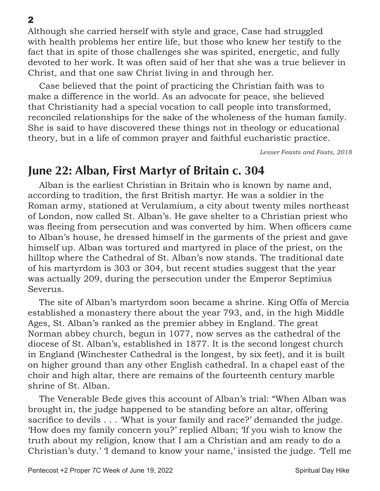Although she carried herself with style and grace, Case had struggled with health problems her entire life, but those who knew her testify to the fact that in spite of those challenges she was spirited, energetic, and fully devoted to her work. It was often said of her that she was a true believer in Christ, and that one saw Christ living in and through her.

Case believed that the point of practicing the Christian faith was to make a difference in the world. As an advocate for peace, she believed that Christianity had a special vocation to call people into transformed, reconciled relationships for the sake of the wholeness of the human family. She is said to have discovered these things not in theology or educational theory, but in a life of common prayer and faithful eucharistic practice.

*Lesser Feasts and Fasts, 2018*

### June 22: Alban, First Martyr of Britain c. 304

Alban is the earliest Christian in Britain who is known by name and, according to tradition, the first British martyr. He was a soldier in the Roman army, stationed at Verulamium, a city about twenty miles northeast of London, now called St. Alban's. He gave shelter to a Christian priest who was fleeing from persecution and was converted by him. When officers came to Alban's house, he dressed himself in the garments of the priest and gave himself up. Alban was tortured and martyred in place of the priest, on the hilltop where the Cathedral of St. Alban's now stands. The traditional date of his martyrdom is 303 or 304, but recent studies suggest that the year was actually 209, during the persecution under the Emperor Septimius Severus.

The site of Alban's martyrdom soon became a shrine. King Offa of Mercia established a monastery there about the year 793, and, in the high Middle Ages, St. Alban's ranked as the premier abbey in England. The great Norman abbey church, begun in 1077, now serves as the cathedral of the diocese of St. Alban's, established in 1877. It is the second longest church in England (Winchester Cathedral is the longest, by six feet), and it is built on higher ground than any other English cathedral. In a chapel east of the choir and high altar, there are remains of the fourteenth century marble shrine of St. Alban.

The Venerable Bede gives this account of Alban's trial: "When Alban was brought in, the judge happened to be standing before an altar, offering sacrifice to devils . . . 'What is your family and race?' demanded the judge. 'How does my family concern you?' replied Alban; 'If you wish to know the truth about my religion, know that I am a Christian and am ready to do a Christian's duty.' 'I demand to know your name,' insisted the judge. 'Tell me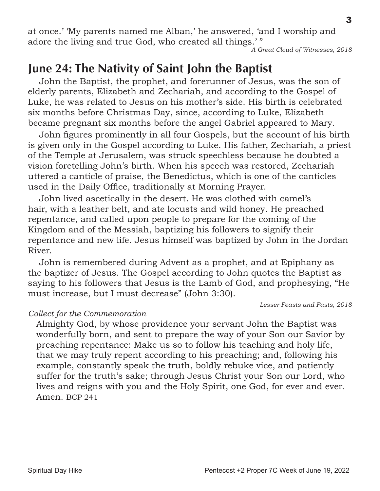at once.' 'My parents named me Alban,' he answered, 'and I worship and adore the living and true God, who created all things.' "

#### *A Great Cloud of Witnesses, 2018*

### June 24: The Nativity of Saint John the Baptist

John the Baptist, the prophet, and forerunner of Jesus, was the son of elderly parents, Elizabeth and Zechariah, and according to the Gospel of Luke, he was related to Jesus on his mother's side. His birth is celebrated six months before Christmas Day, since, according to Luke, Elizabeth became pregnant six months before the angel Gabriel appeared to Mary.

John figures prominently in all four Gospels, but the account of his birth is given only in the Gospel according to Luke. His father, Zechariah, a priest of the Temple at Jerusalem, was struck speechless because he doubted a vision foretelling John's birth. When his speech was restored, Zechariah uttered a canticle of praise, the Benedictus, which is one of the canticles used in the Daily Office, traditionally at Morning Prayer.

John lived ascetically in the desert. He was clothed with camel's hair, with a leather belt, and ate locusts and wild honey. He preached repentance, and called upon people to prepare for the coming of the Kingdom and of the Messiah, baptizing his followers to signify their repentance and new life. Jesus himself was baptized by John in the Jordan River.

John is remembered during Advent as a prophet, and at Epiphany as the baptizer of Jesus. The Gospel according to John quotes the Baptist as saying to his followers that Jesus is the Lamb of God, and prophesying, "He must increase, but I must decrease" (John 3:30).

*Lesser Feasts and Fasts, 2018*

### *Collect for the Commemoration*

Almighty God, by whose providence your servant John the Baptist was wonderfully born, and sent to prepare the way of your Son our Savior by preaching repentance: Make us so to follow his teaching and holy life, that we may truly repent according to his preaching; and, following his example, constantly speak the truth, boldly rebuke vice, and patiently suffer for the truth's sake; through Jesus Christ your Son our Lord, who lives and reigns with you and the Holy Spirit, one God, for ever and ever. Amen. BCP 241